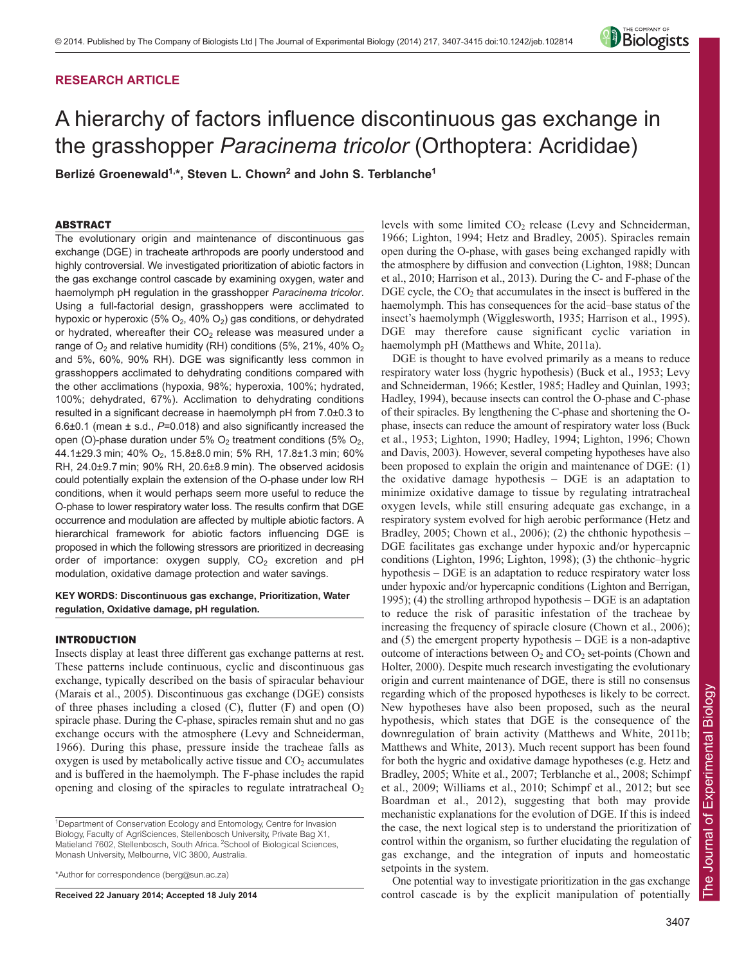# **RESEARCH ARTICLE**



# A hierarchy of factors influence discontinuous gas exchange in the grasshopper *Paracinema tricolor* (Orthoptera: Acrididae)

Berlizé Groenewald<sup>1,\*</sup>, Steven L. Chown<sup>2</sup> and John S. Terblanche<sup>1</sup>

# ABSTRACT

The evolutionary origin and maintenance of discontinuous gas exchange (DGE) in tracheate arthropods are poorly understood and highly controversial. We investigated prioritization of abiotic factors in the gas exchange control cascade by examining oxygen, water and haemolymph pH regulation in the grasshopper *Paracinema tricolor*. Using a full-factorial design, grasshoppers were acclimated to hypoxic or hyperoxic (5%  $O_2$ , 40%  $O_2$ ) gas conditions, or dehydrated or hydrated, whereafter their  $CO<sub>2</sub>$  release was measured under a range of  $O_2$  and relative humidity (RH) conditions (5%, 21%, 40%  $O_2$ and 5%, 60%, 90% RH). DGE was significantly less common in grasshoppers acclimated to dehydrating conditions compared with the other acclimations (hypoxia, 98%; hyperoxia, 100%; hydrated, 100%; dehydrated, 67%). Acclimation to dehydrating conditions resulted in a significant decrease in haemolymph pH from 7.0±0.3 to 6.6±0.1 (mean ± s.d., *P*=0.018) and also significantly increased the open (O)-phase duration under 5%  $O_2$  treatment conditions (5%  $O_2$ , 44.1±29.3 min; 40% O<sub>2</sub>, 15.8±8.0 min; 5% RH, 17.8±1.3 min; 60% RH, 24.0±9.7 min; 90% RH, 20.6±8.9 min). The observed acidosis could potentially explain the extension of the O-phase under low RH conditions, when it would perhaps seem more useful to reduce the O-phase to lower respiratory water loss. The results confirm that DGE occurrence and modulation are affected by multiple abiotic factors. A hierarchical framework for abiotic factors influencing DGE is proposed in which the following stressors are prioritized in decreasing order of importance: oxygen supply,  $CO<sub>2</sub>$  excretion and pH modulation, oxidative damage protection and water savings.

# **KEY WORDS: Discontinuous gas exchange, Prioritization, Water regulation, Oxidative damage, pH regulation.**

# INTRODUCTION

Insects display at least three different gas exchange patterns at rest. These patterns include continuous, cyclic and discontinuous gas exchange, typically described on the basis of spiracular behaviour (Marais et al., 2005). Discontinuous gas exchange (DGE) consists of three phases including a closed (C), flutter (F) and open (O) spiracle phase. During the C-phase, spiracles remain shut and no gas exchange occurs with the atmosphere (Levy and Schneiderman, 1966). During this phase, pressure inside the tracheae falls as oxygen is used by metabolically active tissue and  $CO<sub>2</sub>$  accumulates and is buffered in the haemolymph. The F-phase includes the rapid opening and closing of the spiracles to regulate intratracheal  $O<sub>2</sub>$ 

\*Author for correspondence (berg@sun.ac.za)

**Received 22 January 2014; Accepted 18 July 2014**

levels with some limited  $CO<sub>2</sub>$  release (Levy and Schneiderman, 1966; Lighton, 1994; Hetz and Bradley, 2005). Spiracles remain open during the O-phase, with gases being exchanged rapidly with the atmosphere by diffusion and convection (Lighton, 1988; Duncan et al., 2010; Harrison et al., 2013). During the C- and F-phase of the  $DGE$  cycle, the  $CO<sub>2</sub>$  that accumulates in the insect is buffered in the haemolymph. This has consequences for the acid–base status of the insect's haemolymph (Wigglesworth, 1935; Harrison et al., 1995). DGE may therefore cause significant cyclic variation in haemolymph pH (Matthews and White, 2011a).

DGE is thought to have evolved primarily as a means to reduce respiratory water loss (hygric hypothesis) (Buck et al., 1953; Levy and Schneiderman, 1966; Kestler, 1985; Hadley and Quinlan, 1993; Hadley, 1994), because insects can control the O-phase and C-phase of their spiracles. By lengthening the C-phase and shortening the Ophase, insects can reduce the amount of respiratory water loss (Buck et al., 1953; Lighton, 1990; Hadley, 1994; Lighton, 1996; Chown and Davis, 2003). However, several competing hypotheses have also been proposed to explain the origin and maintenance of DGE: (1) the oxidative damage hypothesis – DGE is an adaptation to minimize oxidative damage to tissue by regulating intratracheal oxygen levels, while still ensuring adequate gas exchange, in a respiratory system evolved for high aerobic performance (Hetz and Bradley, 2005; Chown et al., 2006); (2) the chthonic hypothesis – DGE facilitates gas exchange under hypoxic and/or hypercapnic conditions (Lighton, 1996; Lighton, 1998); (3) the chthonic–hygric hypothesis – DGE is an adaptation to reduce respiratory water loss under hypoxic and/or hypercapnic conditions (Lighton and Berrigan, 1995); (4) the strolling arthropod hypothesis – DGE is an adaptation to reduce the risk of parasitic infestation of the tracheae by increasing the frequency of spiracle closure (Chown et al., 2006); and (5) the emergent property hypothesis – DGE is a non-adaptive outcome of interactions between  $O_2$  and  $CO_2$  set-points (Chown and Holter, 2000). Despite much research investigating the evolutionary origin and current maintenance of DGE, there is still no consensus regarding which of the proposed hypotheses is likely to be correct. New hypotheses have also been proposed, such as the neural hypothesis, which states that DGE is the consequence of the downregulation of brain activity (Matthews and White, 2011b; Matthews and White, 2013). Much recent support has been found for both the hygric and oxidative damage hypotheses (e.g. Hetz and Bradley, 2005; White et al., 2007; Terblanche et al., 2008; Schimpf et al., 2009; Williams et al., 2010; Schimpf et al., 2012; but see Boardman et al., 2012), suggesting that both may provide mechanistic explanations for the evolution of DGE. If this is indeed the case, the next logical step is to understand the prioritization of control within the organism, so further elucidating the regulation of gas exchange, and the integration of inputs and homeostatic setpoints in the system.

One potential way to investigate prioritization in the gas exchange control cascade is by the explicit manipulation of potentially

<sup>&</sup>lt;sup>1</sup>Department of Conservation Ecology and Entomology, Centre for Invasion Biology, Faculty of AgriSciences, Stellenbosch University, Private Bag X1, Matieland 7602, Stellenbosch, South Africa. <sup>2</sup>School of Biological Sciences, Monash University, Melbourne, VIC 3800, Australia.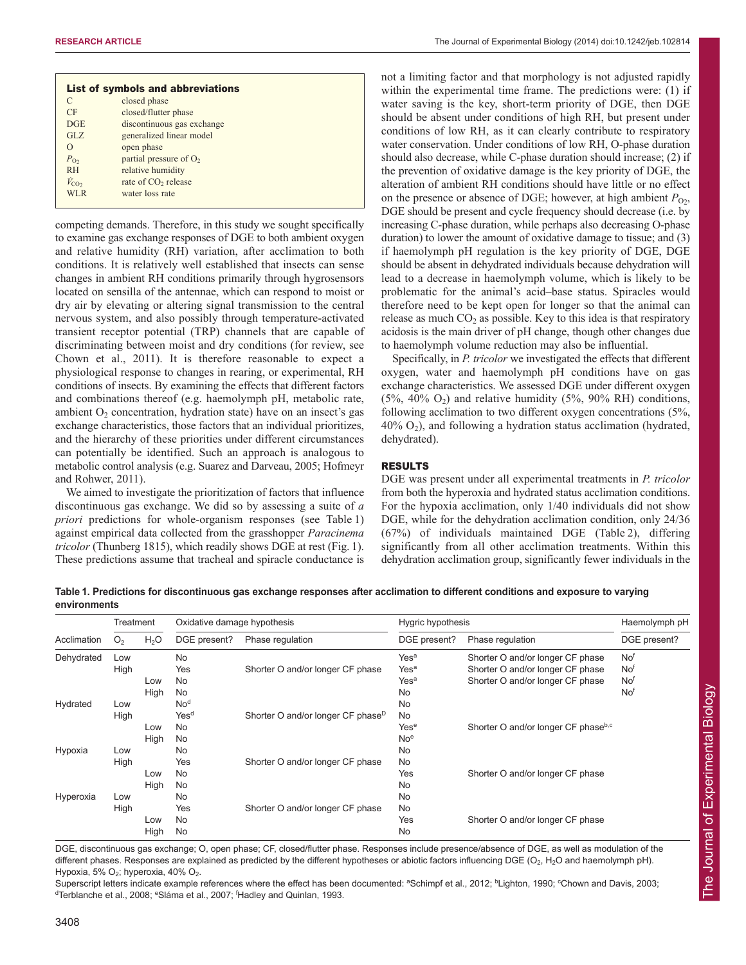|                    | List of symbols and abbreviations |  |
|--------------------|-----------------------------------|--|
| C                  | closed phase                      |  |
| CF                 | closed/flutter phase              |  |
| DGE                | discontinuous gas exchange        |  |
| GLZ                | generalized linear model          |  |
| $\Omega$           | open phase                        |  |
| $P_{\text{O2}}$    | partial pressure of $O2$          |  |
| <b>RH</b>          | relative humidity                 |  |
| $\dot{V}_{\rm CO}$ | rate of CO <sub>2</sub> release   |  |
| WLR.               | water loss rate                   |  |

competing demands. Therefore, in this study we sought specifically to examine gas exchange responses of DGE to both ambient oxygen and relative humidity (RH) variation, after acclimation to both conditions. It is relatively well established that insects can sense changes in ambient RH conditions primarily through hygrosensors located on sensilla of the antennae, which can respond to moist or dry air by elevating or altering signal transmission to the central nervous system, and also possibly through temperature-activated transient receptor potential (TRP) channels that are capable of discriminating between moist and dry conditions (for review, see Chown et al., 2011). It is therefore reasonable to expect a physiological response to changes in rearing, or experimental, RH conditions of insects. By examining the effects that different factors and combinations thereof (e.g. haemolymph pH, metabolic rate, ambient  $O<sub>2</sub>$  concentration, hydration state) have on an insect's gas exchange characteristics, those factors that an individual prioritizes, and the hierarchy of these priorities under different circumstances can potentially be identified. Such an approach is analogous to metabolic control analysis (e.g. Suarez and Darveau, 2005; Hofmeyr and Rohwer, 2011).

We aimed to investigate the prioritization of factors that influence discontinuous gas exchange. We did so by assessing a suite of *a priori* predictions for whole-organism responses (see Table 1) against empirical data collected from the grasshopper *Paracinema tricolor* (Thunberg 1815), which readily shows DGE at rest (Fig. 1). These predictions assume that tracheal and spiracle conductance is not a limiting factor and that morphology is not adjusted rapidly within the experimental time frame. The predictions were: (1) if water saving is the key, short-term priority of DGE, then DGE should be absent under conditions of high RH, but present under conditions of low RH, as it can clearly contribute to respiratory water conservation. Under conditions of low RH, O-phase duration should also decrease, while C-phase duration should increase; (2) if the prevention of oxidative damage is the key priority of DGE, the alteration of ambient RH conditions should have little or no effect on the presence or absence of DGE; however, at high ambient  $P_{\text{O}_2}$ , DGE should be present and cycle frequency should decrease (i.e. by increasing C-phase duration, while perhaps also decreasing O-phase duration) to lower the amount of oxidative damage to tissue; and (3) if haemolymph pH regulation is the key priority of DGE, DGE should be absent in dehydrated individuals because dehydration will lead to a decrease in haemolymph volume, which is likely to be problematic for the animal's acid–base status. Spiracles would therefore need to be kept open for longer so that the animal can release as much  $CO<sub>2</sub>$  as possible. Key to this idea is that respiratory acidosis is the main driver of pH change, though other changes due to haemolymph volume reduction may also be influential.

Specifically, in *P. tricolor* we investigated the effects that different oxygen, water and haemolymph pH conditions have on gas exchange characteristics. We assessed DGE under different oxygen  $(5\%, 40\% \text{ O}_2)$  and relative humidity  $(5\%, 90\% \text{ RH})$  conditions, following acclimation to two different oxygen concentrations (5%,  $40\%$  O<sub>2</sub>), and following a hydration status acclimation (hydrated, dehydrated).

# RESULTS

DGE was present under all experimental treatments in *P. tricolor* from both the hyperoxia and hydrated status acclimation conditions. For the hypoxia acclimation, only 1/40 individuals did not show DGE, while for the dehydration acclimation condition, only 24/36 (67%) of individuals maintained DGE (Table 2), differing significantly from all other acclimation treatments. Within this dehydration acclimation group, significantly fewer individuals in the

**Table 1. Predictions for discontinuous gas exchange responses after acclimation to different conditions and exposure to varying environments**

|             | Treatment      |                  | Oxidative damage hypothesis      |                                               | Hygric hypothesis |                                                 | Haemolymph pH   |
|-------------|----------------|------------------|----------------------------------|-----------------------------------------------|-------------------|-------------------------------------------------|-----------------|
| Acclimation | O <sub>2</sub> | H <sub>2</sub> O | DGE present?<br>Phase regulation |                                               | DGE present?      | Phase regulation                                | DGE present?    |
| Dehydrated  | Low            |                  | <b>No</b>                        |                                               | Yes <sup>a</sup>  | Shorter O and/or longer CF phase                | No <sup>f</sup> |
|             | High           |                  | Yes                              | Shorter O and/or longer CF phase              | Yes <sup>a</sup>  | Shorter O and/or longer CF phase                | No <sup>f</sup> |
|             |                | Low              | No                               |                                               | Yes <sup>a</sup>  | Shorter O and/or longer CF phase                | Nof             |
|             |                | High             | <b>No</b>                        |                                               | <b>No</b>         |                                                 | No <sup>f</sup> |
| Hydrated    | Low            |                  | No <sup>d</sup>                  |                                               | <b>No</b>         |                                                 |                 |
|             | High           |                  | Yes <sup>d</sup>                 | Shorter O and/or longer CF phase <sup>D</sup> | <b>No</b>         |                                                 |                 |
|             |                | Low              | No                               |                                               | Yes <sup>e</sup>  | Shorter O and/or longer CF phase <sup>b,c</sup> |                 |
|             |                | High             | <b>No</b>                        |                                               | No <sup>e</sup>   |                                                 |                 |
| Hypoxia     | Low            |                  | <b>No</b>                        |                                               | No                |                                                 |                 |
|             | High           |                  | Yes                              | Shorter O and/or longer CF phase              | <b>No</b>         |                                                 |                 |
|             |                | Low              | No                               |                                               | Yes               | Shorter O and/or longer CF phase                |                 |
|             |                | High             | No                               |                                               | <b>No</b>         |                                                 |                 |
| Hyperoxia   | Low            |                  | No                               |                                               | <b>No</b>         |                                                 |                 |
|             | High           |                  | Yes                              | Shorter O and/or longer CF phase              | <b>No</b>         |                                                 |                 |
|             |                | Low              | No                               |                                               | Yes               | Shorter O and/or longer CF phase                |                 |
|             |                | High             | No                               |                                               | <b>No</b>         |                                                 |                 |

DGE, discontinuous gas exchange; O, open phase; CF, closed/flutter phase. Responses include presence/absence of DGE, as well as modulation of the different phases. Responses are explained as predicted by the different hypotheses or abiotic factors influencing DGE ( $O_2$ , H<sub>2</sub>O and haemolymph pH). Hypoxia, 5%  $O_2$ ; hyperoxia, 40%  $O_2$ .

Superscript letters indicate example references where the effect has been documented: <sup>a</sup>Schimpf et al., 2012; <sup>b</sup>Lighton, 1990; <sup>c</sup>Chown and Davis, 2003; <sup>d</sup>Terblanche et al., 2008; <sup>e</sup>Sláma et al., 2007; <sup>f</sup>Hadley and Quinlan, 1993.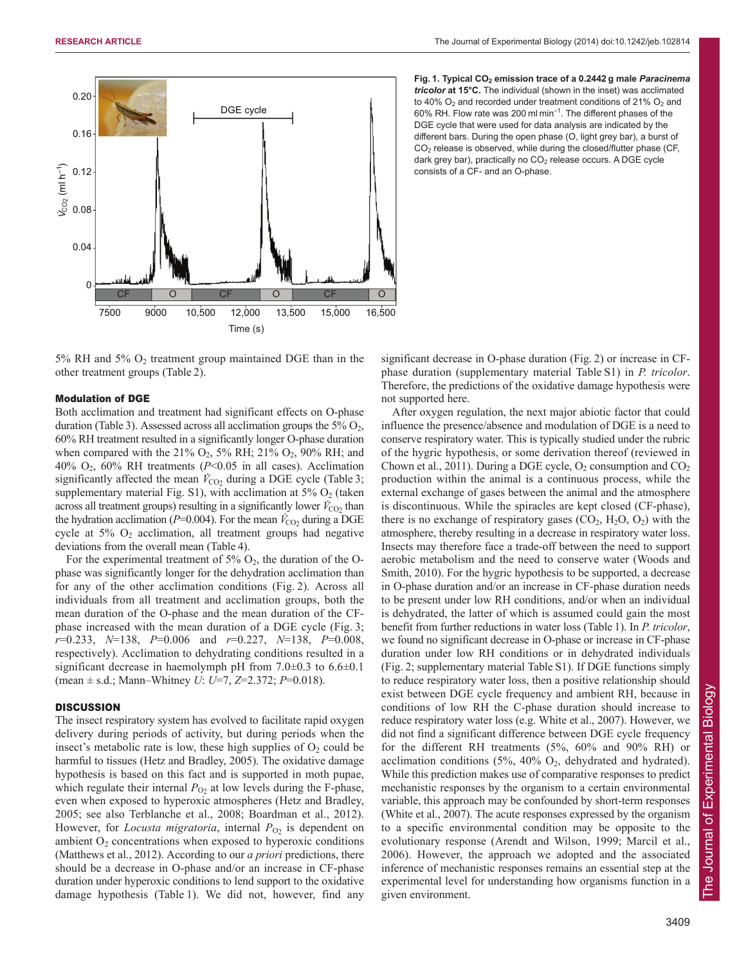

5% RH and 5%  $O_2$  treatment group maintained DGE than in the other treatment groups (Table 2).

# Modulation of DGE

Both acclimation and treatment had significant effects on O-phase duration (Table 3). Assessed across all acclimation groups the  $5\%$   $O_2$ , 60% RH treatment resulted in a significantly longer O-phase duration when compared with the 21%  $O_2$ , 5% RH; 21%  $O_2$ , 90% RH; and 40% O2, 60% RH treatments (*P*<0.05 in all cases). Acclimation significantly affected the mean  $V_{\text{CO}_2}$  during a DGE cycle (Table 3; supplementary material Fig. S1), with acclimation at  $5\%$  O<sub>2</sub> (taken across all treatment groups) resulting in a significantly lower  $\dot{V}_{\text{CO}_2}$  than the hydration acclimation ( $P=0.004$ ). For the mean  $V_{CO_2}$  during a DGE cycle at  $5\%$  O<sub>2</sub> acclimation, all treatment groups had negative deviations from the overall mean (Table 4).

For the experimental treatment of  $5\%$  O<sub>2</sub>, the duration of the Ophase was significantly longer for the dehydration acclimation than for any of the other acclimation conditions (Fig. 2). Across all individuals from all treatment and acclimation groups, both the mean duration of the O-phase and the mean duration of the CFphase increased with the mean duration of a DGE cycle (Fig. 3; *r*=0.233, *N*=138, *P*=0.006 and *r*=0.227, *N*=138, *P*=0.008, respectively). Acclimation to dehydrating conditions resulted in a significant decrease in haemolymph pH from 7.0 $\pm$ 0.3 to 6.6 $\pm$ 0.1 (mean ± s.d.; Mann–Whitney *U*: *U*=7, *Z*=2.372; *P*=0.018).

## **DISCUSSION**

The insect respiratory system has evolved to facilitate rapid oxygen delivery during periods of activity, but during periods when the insect's metabolic rate is low, these high supplies of  $O_2$  could be harmful to tissues (Hetz and Bradley, 2005). The oxidative damage hypothesis is based on this fact and is supported in moth pupae, which regulate their internal  $P_{\text{O}2}$  at low levels during the F-phase, even when exposed to hyperoxic atmospheres (Hetz and Bradley, 2005; see also Terblanche et al., 2008; Boardman et al., 2012). However, for *Locusta migratoria*, internal  $P_{O2}$  is dependent on ambient  $O_2$  concentrations when exposed to hyperoxic conditions (Matthews et al., 2012). According to our *a priori* predictions, there should be a decrease in O-phase and/or an increase in CF-phase duration under hyperoxic conditions to lend support to the oxidative damage hypothesis (Table 1). We did not, however, find any



significant decrease in O-phase duration (Fig. 2) or increase in CFphase duration (supplementary material Table S1) in *P. tricolor*. Therefore, the predictions of the oxidative damage hypothesis were not supported here.

After oxygen regulation, the next major abiotic factor that could influence the presence/absence and modulation of DGE is a need to conserve respiratory water. This is typically studied under the rubric of the hygric hypothesis, or some derivation thereof (reviewed in Chown et al., 2011). During a DGE cycle,  $O_2$  consumption and  $CO_2$ production within the animal is a continuous process, while the external exchange of gases between the animal and the atmosphere is discontinuous. While the spiracles are kept closed (CF-phase), there is no exchange of respiratory gases  $(CO_2, H_2O, O_2)$  with the atmosphere, thereby resulting in a decrease in respiratory water loss. Insects may therefore face a trade-off between the need to support aerobic metabolism and the need to conserve water (Woods and Smith, 2010). For the hygric hypothesis to be supported, a decrease in O-phase duration and/or an increase in CF-phase duration needs to be present under low RH conditions, and/or when an individual is dehydrated, the latter of which is assumed could gain the most benefit from further reductions in water loss (Table 1). In *P. tricolor*, we found no significant decrease in O-phase or increase in CF-phase duration under low RH conditions or in dehydrated individuals (Fig. 2; supplementary material Table S1). If DGE functions simply to reduce respiratory water loss, then a positive relationship should exist between DGE cycle frequency and ambient RH, because in conditions of low RH the C-phase duration should increase to reduce respiratory water loss (e.g. White et al., 2007). However, we did not find a significant difference between DGE cycle frequency for the different RH treatments (5%, 60% and 90% RH) or acclimation conditions  $(5\%, 40\% \text{ O}_2)$ , dehydrated and hydrated). While this prediction makes use of comparative responses to predict mechanistic responses by the organism to a certain environmental variable, this approach may be confounded by short-term responses (White et al., 2007). The acute responses expressed by the organism to a specific environmental condition may be opposite to the evolutionary response (Arendt and Wilson, 1999; Marcil et al., 2006). However, the approach we adopted and the associated inference of mechanistic responses remains an essential step at the experimental level for understanding how organisms function in a given environment.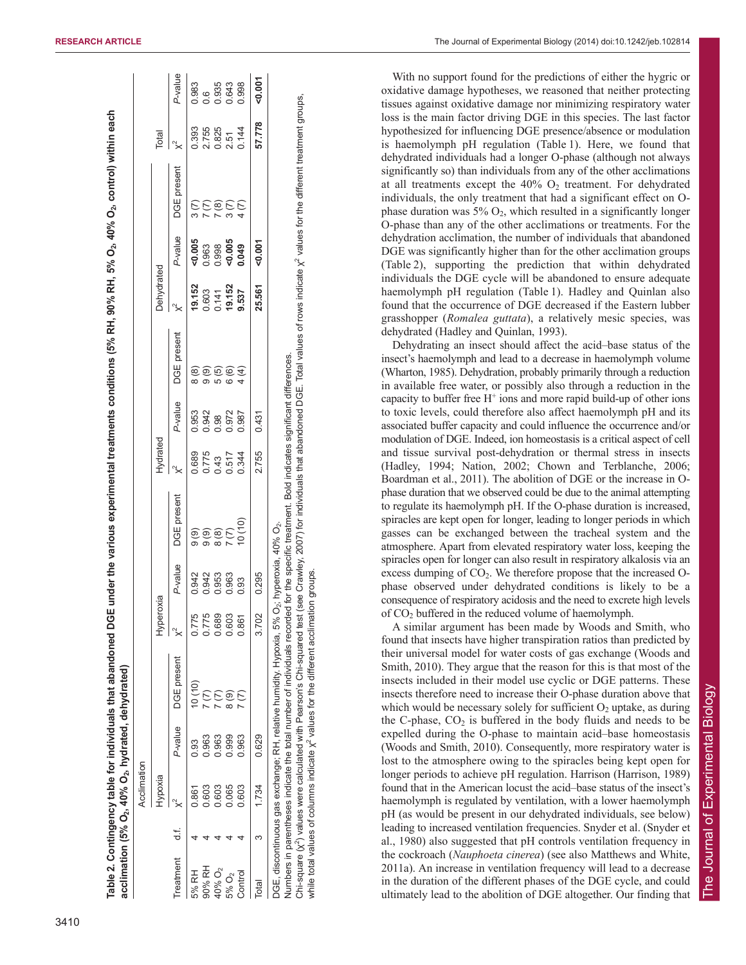|                    |         | Acclimation |         |                                                                                                                                                                                                                                                                                                                                                   |           |         |                                                                                                                                                |          |         |             |            |         |             |        |               |
|--------------------|---------|-------------|---------|---------------------------------------------------------------------------------------------------------------------------------------------------------------------------------------------------------------------------------------------------------------------------------------------------------------------------------------------------|-----------|---------|------------------------------------------------------------------------------------------------------------------------------------------------|----------|---------|-------------|------------|---------|-------------|--------|---------------|
|                    |         | Hypoxia     |         |                                                                                                                                                                                                                                                                                                                                                   | Hyperoxia |         |                                                                                                                                                | Hydrated |         |             | Dehydrated |         |             | Total  |               |
| Treatment          | ti<br>T |             | P-value | DGE present                                                                                                                                                                                                                                                                                                                                       |           | P-value | DGE present                                                                                                                                    |          | P-value | DGE present |            | P-value | DGE present |        | P-value       |
| 5% RH              |         | 0.861       | 0.93    | 10 (10)                                                                                                                                                                                                                                                                                                                                           | 0.775     | 0.942   |                                                                                                                                                | 0.689    | 0.953   | 8(8)        | 19.152     | 0.005   |             | 0.393  | 0.983         |
| 90% RH             |         | 0.603       | 0.963   |                                                                                                                                                                                                                                                                                                                                                   | 0.775     | 0.942   | .<br>ගි.<br>ගි. ග                                                                                                                              | 0.775    | 0.942   | $\circ$     | 0.603      | 0.963   |             | 2.755  | $\frac{6}{1}$ |
| 40% O <sub>2</sub> |         | 0.603       | 0.963   |                                                                                                                                                                                                                                                                                                                                                   | 0.689     | 0.953   |                                                                                                                                                | 0.43     | 0.98    | 5 (5)       | 0.141      | 0.998   |             | 0.825  | 0.935         |
| 5% O <sub>2</sub>  |         | 0.065       | 0.999   | $\frac{8}{6}$                                                                                                                                                                                                                                                                                                                                     | 0.603     | 0.963   |                                                                                                                                                | 0.517    | 0.972   | 6 (6)       | 19.152     | 0.005   |             | 2.51   | 0.643         |
| Control            |         | 0.603       | 0.963   |                                                                                                                                                                                                                                                                                                                                                   | 0.861     | 0.93    | (10)(10)                                                                                                                                       | 0.344    | 0.987   | 4(4)        | 9.537      | 0.049   |             | 0.144  | 0.998         |
| Total              | 3       | 1.734       | 0.629   |                                                                                                                                                                                                                                                                                                                                                   | 3.702     | 0.295   |                                                                                                                                                | 2.755    | 0.431   |             | 25.561     | 50.001  |             | 57.778 | 0.001         |
|                    |         |             |         | Numbers in parentheses indicate the total number of individuals recorded for the specific treatment. Bold indicates significant differences.<br>DGE, discontinuous gas exchange; RH, relative humidity. Hypoxia, 5% O <sub>2</sub> ; hyperoxia, 40% O <sub>2</sub> .<br>Chi-square $(x^2)$ values were calculated with Pearson's Chi-squared test |           |         | see Crawley, 2007) for individuals that abandoned DGE. Total values of rows indicate x <sup>2</sup> values for the different treatment groups, |          |         |             |            |         |             |        |               |

With no support found for the predictions of either the hygric or oxidative damage hypotheses, we reasoned that neither protecting tissues against oxidative damage nor minimizing respiratory water loss is the main factor driving DGE in this species. The last factor hypothesized for influencing DGE presence/absence or modulation is haemolymph pH regulation (Table 1). Here, we found that dehydrated individuals had a longer O-phase (although not always significantly so) than individuals from any of the other acclimations at all treatments except the  $40\%$   $O_2$  treatment. For dehydrated individuals, the only treatment that had a significant effect on Ophase duration was  $5\%$  O<sub>2</sub>, which resulted in a significantly longer O-phase than any of the other acclimations or treatments. For the dehydration acclimation, the number of individuals that abandoned DGE was significantly higher than for the other acclimation groups (Table 2), supporting the prediction that within dehydrated individuals the DGE cycle will be abandoned to ensure adequate haemolymph pH regulation (Table 1). Hadley and Quinlan also found that the occurrence of DGE decreased if the Eastern lubber grasshopper (*Romalea guttata*), a relatively mesic species, was dehydrated (Hadley and Quinlan, 1993).

Dehydrating an insect should affect the acid–base status of the insect's haemolymph and lead to a decrease in haemolymph volume (Wharton, 1985). Dehydration, probably primarily through a reduction in available free water, or possibly also through a reduction in the capacity to buffer free  $H^+$  ions and more rapid build-up of other ions to toxic levels, could therefore also affect haemolymph pH and its associated buffer capacity and could influence the occurrence and/or modulation of DGE. Indeed, ion homeostasis is a critical aspect of cell and tissue survival post-dehydration or thermal stress in insects (Hadley, 1994; Nation, 2002; Chown and Terblanche, 2006; Boardman et al., 2011). The abolition of DGE or the increase in Ophase duration that we observed could be due to the animal attempting to regulate its haemolymph pH. If the O-phase duration is increased, spiracles are kept open for longer, leading to longer periods in which gasses can be exchanged between the tracheal system and the atmosphere. Apart from elevated respiratory water loss, keeping the spiracles open for longer can also result in respiratory alkalosis via an excess dumping of CO 2. We therefore propose that the increased Ophase observed under dehydrated conditions is likely to be a consequence of respiratory acidosis and the need to excrete high levels of CO <sup>2</sup> buffered in the reduced volume of haemolymph.

A similar argument has been made by Woods and Smith, who found that insects have higher transpiration ratios than predicted by their universal model for water costs of gas exchange (Woods and Smith, 2010). They argue that the reason for this is that most of the insects included in their model use cyclic or DGE patterns. These insects therefore need to increase their O-phase duration above that which would be necessary solely for sufficient  $O<sub>2</sub>$  uptake, as during the C-phase, CO <sup>2</sup> is buffered in the body fluids and needs to be expelled during the O-phase to maintain acid–base homeostasis (Woods and Smith, 2010). Consequently, more respiratory water is lost to the atmosphere owing to the spiracles being kept open for longer periods to achieve pH regulation. Harrison (Harrison, 1989) found that in the American locust the acid–base status of the insect's haemolymph is regulated by ventilation, with a lower haemolymph pH (as would be present in our dehydrated individuals, see below) leading to increased ventilation frequencies. Snyder et al. (Snyder et al., 1980) also suggested that pH controls ventilation frequency in the cockroach (*Nauphoeta cinerea*) (see also Matthews and White, 2011a). An increase in ventilation frequency will lead to a decrease in the duration of the different phases of the DGE cycle, and could ultimately lead to the abolition of DGE altogether. Our finding that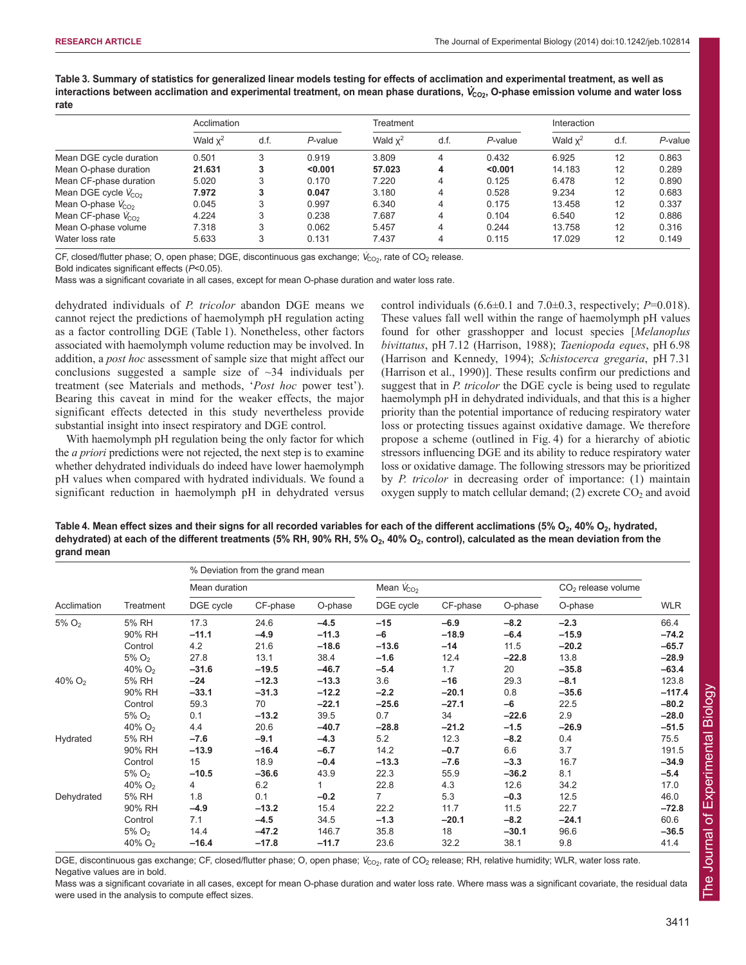**Table 3. Summary of statistics for generalized linear models testing for effects of acclimation and experimental treatment, as well as** interactions between acclimation and experimental treatment, on mean phase durations,  $\dot{V}_{\rm CO2}$ , O-phase emission volume and water loss **rate**

|                          | Acclimation |      |         | Treatment  |      |            |            | Interaction |            |  |
|--------------------------|-------------|------|---------|------------|------|------------|------------|-------------|------------|--|
|                          | Wald $x^2$  | d.f. | P-value | Wald $x^2$ | d.f. | $P$ -value | Wald $x^2$ | d.f.        | $P$ -value |  |
| Mean DGE cycle duration  | 0.501       | 3    | 0.919   | 3.809      | 4    | 0.432      | 6.925      | 12          | 0.863      |  |
| Mean O-phase duration    | 21.631      | 3    | < 0.001 | 57.023     | 4    | < 0.001    | 14.183     | 12          | 0.289      |  |
| Mean CF-phase duration   | 5.020       | 3    | 0.170   | 7.220      | 4    | 0.125      | 6.478      | 12          | 0.890      |  |
| Mean DGE cycle $V_{CO2}$ | 7.972       | 3    | 0.047   | 3.180      | 4    | 0.528      | 9.234      | 12          | 0.683      |  |
| Mean O-phase $V_{CO2}$   | 0.045       | 3    | 0.997   | 6.340      | 4    | 0.175      | 13.458     | 12          | 0.337      |  |
| Mean CF-phase $V_{CO2}$  | 4.224       | 3    | 0.238   | 7.687      | 4    | 0.104      | 6.540      | 12          | 0.886      |  |
| Mean O-phase volume      | 7.318       | 3    | 0.062   | 5.457      | 4    | 0.244      | 13.758     | 12          | 0.316      |  |
| Water loss rate          | 5.633       | 3    | 0.131   | 7.437      | 4    | 0.115      | 17.029     | 12          | 0.149      |  |

CF, closed/flutter phase; O, open phase; DGE, discontinuous gas exchange;  $\dot{V}_{\rm CO_2}$ , rate of CO<sub>2</sub> release.

Bold indicates significant effects (*P*<0.05).

Mass was a significant covariate in all cases, except for mean O-phase duration and water loss rate.

dehydrated individuals of *P. tricolor* abandon DGE means we cannot reject the predictions of haemolymph pH regulation acting as a factor controlling DGE (Table 1). Nonetheless, other factors associated with haemolymph volume reduction may be involved. In addition, a *post hoc* assessment of sample size that might affect our conclusions suggested a sample size of  $\sim$ 34 individuals per treatment (see Materials and methods, '*Post hoc* power test'). Bearing this caveat in mind for the weaker effects, the major significant effects detected in this study nevertheless provide substantial insight into insect respiratory and DGE control.

With haemolymph pH regulation being the only factor for which the *a priori* predictions were not rejected, the next step is to examine whether dehydrated individuals do indeed have lower haemolymph pH values when compared with hydrated individuals. We found a significant reduction in haemolymph pH in dehydrated versus control individuals  $(6.6\pm0.1$  and  $7.0\pm0.3$ , respectively;  $P=0.018$ ). These values fall well within the range of haemolymph pH values found for other grasshopper and locust species [*Melanoplus bivittatus*, pH 7.12 (Harrison, 1988); *Taeniopoda eques*, pH 6.98 (Harrison and Kennedy, 1994); *Schistocerca gregaria*, pH 7.31 (Harrison et al., 1990)]. These results confirm our predictions and suggest that in *P. tricolor* the DGE cycle is being used to regulate haemolymph pH in dehydrated individuals, and that this is a higher priority than the potential importance of reducing respiratory water loss or protecting tissues against oxidative damage. We therefore propose a scheme (outlined in Fig. 4) for a hierarchy of abiotic stressors influencing DGE and its ability to reduce respiratory water loss or oxidative damage. The following stressors may be prioritized by *P. tricolor* in decreasing order of importance: (1) maintain oxygen supply to match cellular demand;  $(2)$  excrete  $CO<sub>2</sub>$  and avoid

Table 4. Mean effect sizes and their signs for all recorded variables for each of the different acclimations (5% O<sub>2</sub>, 40% O<sub>2</sub>, hydrated, **dehydrated) at each of the different treatments (5% RH, 90% RH, 5% O2, 40% O2, control), calculated as the mean deviation from the grand mean**

|                      |                      | % Deviation from the grand mean |          |         |                |          |         |                                |            |
|----------------------|----------------------|---------------------------------|----------|---------|----------------|----------|---------|--------------------------------|------------|
|                      |                      | Mean duration                   |          |         | Mean $V_{CO2}$ |          |         | CO <sub>2</sub> release volume |            |
| Acclimation          | Treatment            | DGE cycle                       | CF-phase | O-phase | DGE cycle      | CF-phase | O-phase | O-phase                        | <b>WLR</b> |
| $5\%$ O <sub>2</sub> | 5% RH                | 17.3                            | 24.6     | $-4.5$  | $-15$          | $-6.9$   | $-8.2$  | $-2.3$                         | 66.4       |
|                      | 90% RH               | $-11.1$                         | $-4.9$   | $-11.3$ | -6             | $-18.9$  | $-6.4$  | $-15.9$                        | $-74.2$    |
|                      | Control              | 4.2                             | 21.6     | $-18.6$ | $-13.6$        | $-14$    | 11.5    | $-20.2$                        | $-65.7$    |
|                      | $5\%$ O <sub>2</sub> | 27.8                            | 13.1     | 38.4    | $-1.6$         | 12.4     | $-22.8$ | 13.8                           | $-28.9$    |
|                      | 40% $O2$             | $-31.6$                         | $-19.5$  | $-46.7$ | $-5.4$         | 1.7      | 20      | $-35.8$                        | $-63.4$    |
| 40% $O2$             | 5% RH                | $-24$                           | $-12.3$  | $-13.3$ | 3.6            | $-16$    | 29.3    | $-8.1$                         | 123.8      |
|                      | 90% RH               | $-33.1$                         | $-31.3$  | $-12.2$ | $-2.2$         | $-20.1$  | 0.8     | $-35.6$                        | $-117.4$   |
|                      | Control              | 59.3                            | 70       | $-22.1$ | $-25.6$        | $-27.1$  | $-6$    | 22.5                           | $-80.2$    |
|                      | $5\%$ O <sub>2</sub> | 0.1                             | $-13.2$  | 39.5    | 0.7            | 34       | $-22.6$ | 2.9                            | $-28.0$    |
|                      | 40% $O2$             | 4.4                             | 20.6     | $-40.7$ | $-28.8$        | $-21.2$  | $-1.5$  | $-26.9$                        | $-51.5$    |
| Hydrated             | 5% RH                | $-7.6$                          | $-9.1$   | $-4.3$  | 5.2            | 12.3     | $-8.2$  | 0.4                            | 75.5       |
|                      | 90% RH               | $-13.9$                         | $-16.4$  | $-6.7$  | 14.2           | $-0.7$   | 6.6     | 3.7                            | 191.5      |
|                      | Control              | 15                              | 18.9     | $-0.4$  | $-13.3$        | $-7.6$   | $-3.3$  | 16.7                           | $-34.9$    |
|                      | $5\%$ O <sub>2</sub> | $-10.5$                         | $-36.6$  | 43.9    | 22.3           | 55.9     | $-36.2$ | 8.1                            | $-5.4$     |
|                      | 40% $O_2$            | 4                               | 6.2      |         | 22.8           | 4.3      | 12.6    | 34.2                           | 17.0       |
| Dehydrated           | 5% RH                | 1.8                             | 0.1      | $-0.2$  | $\overline{7}$ | 5.3      | $-0.3$  | 12.5                           | 46.0       |
|                      | 90% RH               | $-4.9$                          | $-13.2$  | 15.4    | 22.2           | 11.7     | 11.5    | 22.7                           | $-72.8$    |
|                      | Control              | 7.1                             | $-4.5$   | 34.5    | $-1.3$         | $-20.1$  | $-8.2$  | $-24.1$                        | 60.6       |
|                      | $5\%$ O <sub>2</sub> | 14.4                            | $-47.2$  | 146.7   | 35.8           | 18       | $-30.1$ | 96.6                           | $-36.5$    |
|                      | 40% $O_2$            | $-16.4$                         | $-17.8$  | $-11.7$ | 23.6           | 32.2     | 38.1    | 9.8                            | 41.4       |

DGE, discontinuous gas exchange; CF, closed/flutter phase; O, open phase; V<sub>CO2</sub>, rate of CO<sub>2</sub> release; RH, relative humidity; WLR, water loss rate. Negative values are in bold.

Mass was a significant covariate in all cases, except for mean O-phase duration and water loss rate. Where mass was a significant covariate, the residual data were used in the analysis to compute effect sizes.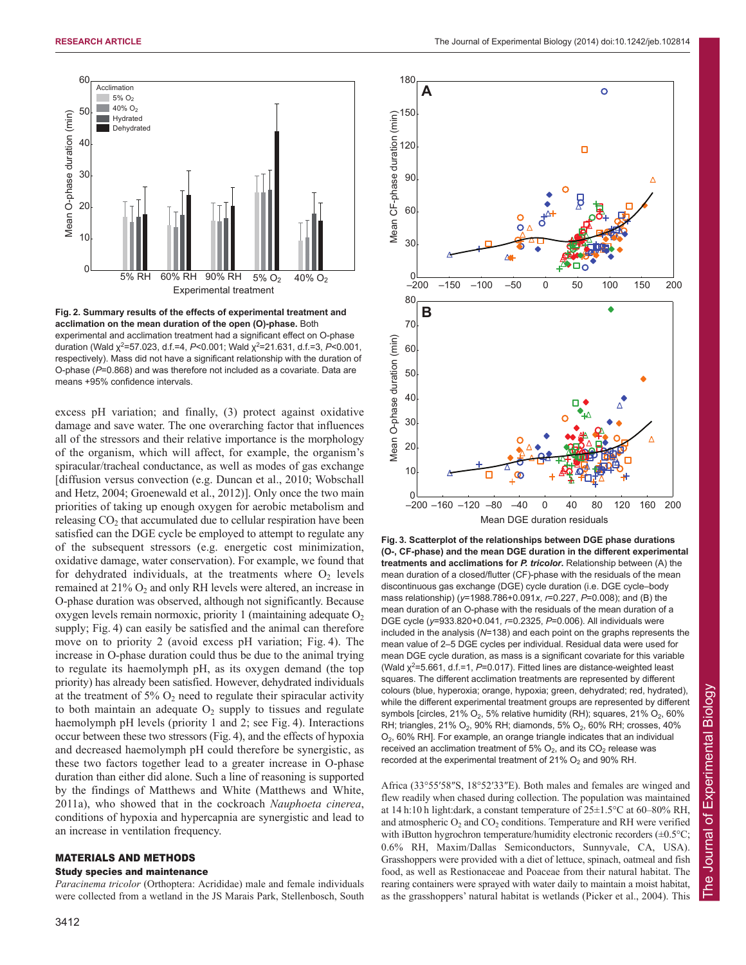

**Fig. 2. Summary results of the effects of experimental treatment and acclimation on the mean duration of the open (O)-phase.** Both experimental and acclimation treatment had a significant effect on O-phase duration (Wald χ<sup>2</sup>=57.023, d.f.=4, P<0.001; Wald χ<sup>2</sup>=21.631, d.f.=3, P<0.001, respectively). Mass did not have a significant relationship with the duration of O-phase (*P*=0.868) and was therefore not included as a covariate. Data are means +95% confidence intervals.

excess pH variation; and finally, (3) protect against oxidative damage and save water. The one overarching factor that influences all of the stressors and their relative importance is the morphology of the organism, which will affect, for example, the organism's spiracular/tracheal conductance, as well as modes of gas exchange [diffusion versus convection (e.g. Duncan et al., 2010; Wobschall and Hetz, 2004; Groenewald et al., 2012)]. Only once the two main priorities of taking up enough oxygen for aerobic metabolism and releasing  $CO<sub>2</sub>$  that accumulated due to cellular respiration have been satisfied can the DGE cycle be employed to attempt to regulate any of the subsequent stressors (e.g. energetic cost minimization, oxidative damage, water conservation). For example, we found that for dehydrated individuals, at the treatments where  $O_2$  levels remained at  $21\%$  O<sub>2</sub> and only RH levels were altered, an increase in O-phase duration was observed, although not significantly. Because oxygen levels remain normoxic, priority 1 (maintaining adequate  $O<sub>2</sub>$ supply; Fig. 4) can easily be satisfied and the animal can therefore move on to priority 2 (avoid excess pH variation; Fig. 4). The increase in O-phase duration could thus be due to the animal trying to regulate its haemolymph pH, as its oxygen demand (the top priority) has already been satisfied. However, dehydrated individuals at the treatment of  $5\%$  O<sub>2</sub> need to regulate their spiracular activity to both maintain an adequate  $O_2$  supply to tissues and regulate haemolymph pH levels (priority 1 and 2; see Fig. 4). Interactions occur between these two stressors (Fig. 4), and the effects of hypoxia and decreased haemolymph pH could therefore be synergistic, as these two factors together lead to a greater increase in O-phase duration than either did alone. Such a line of reasoning is supported by the findings of Matthews and White (Matthews and White, 2011a), who showed that in the cockroach *Nauphoeta cinerea*, conditions of hypoxia and hypercapnia are synergistic and lead to an increase in ventilation frequency.

## MATERIALS AND METHODS

#### Study species and maintenance

*Paracinema tricolor* (Orthoptera: Acrididae) male and female individuals were collected from a wetland in the JS Marais Park, Stellenbosch, South



**Fig. 3. Scatterplot of the relationships between DGE phase durations (O-, CF-phase) and the mean DGE duration in the different experimental treatments and acclimations for** *P. tricolor***.** Relationship between (A) the mean duration of a closed/flutter (CF)-phase with the residuals of the mean discontinuous gas exchange (DGE) cycle duration (i.e. DGE cycle–body mass relationship) (*y*=1988.786+0.091*x*, *r*=0.227, *P*=0.008); and (B) the mean duration of an O-phase with the residuals of the mean duration of a DGE cycle (*y*=933.820+0.041*, r*=0.2325, *P*=0.006). All individuals were included in the analysis (*N*=138) and each point on the graphs represents the mean value of 2–5 DGE cycles per individual. Residual data were used for mean DGE cycle duration, as mass is a significant covariate for this variable (Wald  $\chi^2$ =5.661, d.f.=1, P=0.017). Fitted lines are distance-weighted least squares. The different acclimation treatments are represented by different colours (blue, hyperoxia; orange, hypoxia; green, dehydrated; red, hydrated), while the different experimental treatment groups are represented by different symbols [circles,  $21\%$  O<sub>2</sub>, 5% relative humidity (RH); squares,  $21\%$  O<sub>2</sub>, 60% RH; triangles, 21%  $O_2$ , 90% RH; diamonds, 5%  $O_2$ , 60% RH; crosses, 40% O2, 60% RH]. For example, an orange triangle indicates that an individual received an acclimation treatment of 5%  $O_2$ , and its  $CO_2$  release was recorded at the experimental treatment of 21%  $O<sub>2</sub>$  and 90% RH.

Africa (33°55′58″S, 18°52′33″E). Both males and females are winged and flew readily when chased during collection. The population was maintained at 14 h:10 h light:dark, a constant temperature of 25±1.5°C at 60–80% RH, and atmospheric  $O_2$  and  $CO_2$  conditions. Temperature and RH were verified with iButton hygrochron temperature/humidity electronic recorders  $(\pm 0.5^{\circ}C;$ 0.6% RH, Maxim/Dallas Semiconductors, Sunnyvale, CA, USA). Grasshoppers were provided with a diet of lettuce, spinach, oatmeal and fish food, as well as Restionaceae and Poaceae from their natural habitat. The rearing containers were sprayed with water daily to maintain a moist habitat, as the grasshoppers' natural habitat is wetlands (Picker et al., 2004). This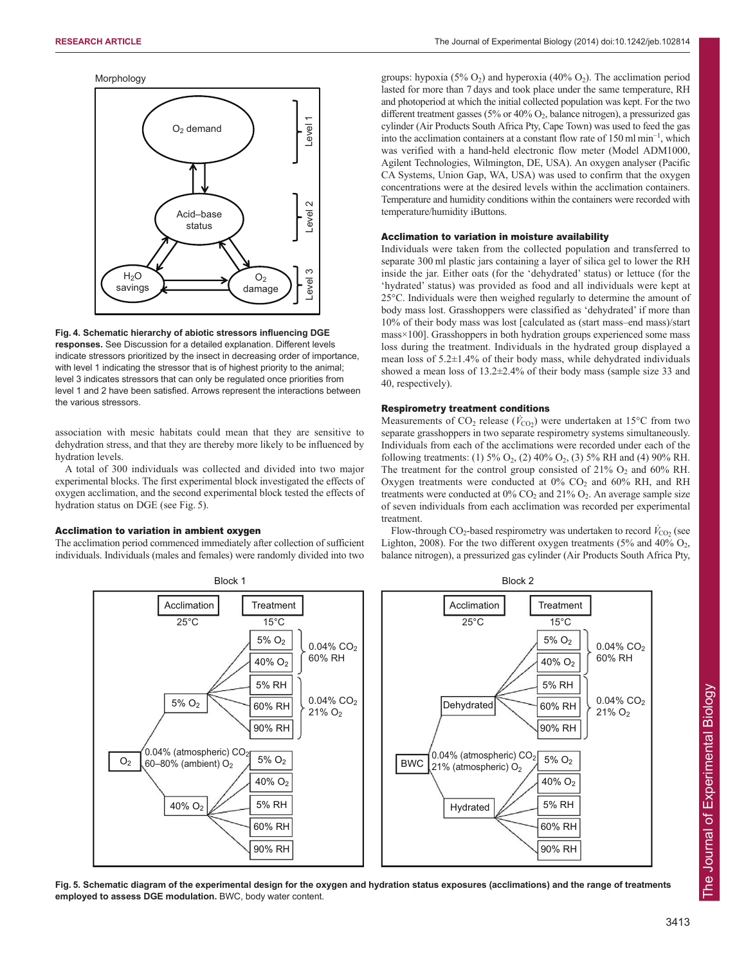



**Fig. 4. Schematic hierarchy of abiotic stressors influencing DGE responses.** See Discussion for a detailed explanation. Different levels indicate stressors prioritized by the insect in decreasing order of importance, with level 1 indicating the stressor that is of highest priority to the animal; level 3 indicates stressors that can only be regulated once priorities from level 1 and 2 have been satisfied. Arrows represent the interactions between the various stressors.

association with mesic habitats could mean that they are sensitive to dehydration stress, and that they are thereby more likely to be influenced by hydration levels.

A total of 300 individuals was collected and divided into two major experimental blocks. The first experimental block investigated the effects of oxygen acclimation, and the second experimental block tested the effects of hydration status on DGE (see Fig. 5).

## Acclimation to variation in ambient oxygen

The acclimation period commenced immediately after collection of sufficient individuals. Individuals (males and females) were randomly divided into two groups: hypoxia  $(5\% O_2)$  and hyperoxia  $(40\% O_2)$ . The acclimation period lasted for more than 7 days and took place under the same temperature, RH and photoperiod at which the initial collected population was kept. For the two different treatment gasses (5% or 40% O2, balance nitrogen), a pressurized gas cylinder (Air Products South Africa Pty, Cape Town) was used to feed the gas into the acclimation containers at a constant flow rate of 150 ml min<sup>−</sup><sup>1</sup> , which was verified with a hand-held electronic flow meter (Model ADM1000, Agilent Technologies, Wilmington, DE, USA). An oxygen analyser (Pacific CA Systems, Union Gap, WA, USA) was used to confirm that the oxygen concentrations were at the desired levels within the acclimation containers. Temperature and humidity conditions within the containers were recorded with temperature/humidity iButtons.

#### Acclimation to variation in moisture availability

Individuals were taken from the collected population and transferred to separate 300 ml plastic jars containing a layer of silica gel to lower the RH inside the jar. Either oats (for the 'dehydrated' status) or lettuce (for the 'hydrated' status) was provided as food and all individuals were kept at 25°C. Individuals were then weighed regularly to determine the amount of body mass lost. Grasshoppers were classified as 'dehydrated' if more than 10% of their body mass was lost [calculated as (start mass–end mass)/start mass×100]. Grasshoppers in both hydration groups experienced some mass loss during the treatment. Individuals in the hydrated group displayed a mean loss of 5.2±1.4% of their body mass, while dehydrated individuals showed a mean loss of 13.2±2.4% of their body mass (sample size 33 and 40, respectively).

#### Respirometry treatment conditions

Measurements of  $CO_2$  release ( $\dot{V}_{CO_2}$ ) were undertaken at 15<sup>o</sup>C from two separate grasshoppers in two separate respirometry systems simultaneously. Individuals from each of the acclimations were recorded under each of the following treatments: (1) 5% O2, (2) 40% O2, (3) 5% RH and (4) 90% RH. The treatment for the control group consisted of  $21\%$  O<sub>2</sub> and 60% RH. Oxygen treatments were conducted at  $0\%$  CO<sub>2</sub> and 60% RH, and RH treatments were conducted at  $0\%$  CO<sub>2</sub> and  $21\%$  O<sub>2</sub>. An average sample size of seven individuals from each acclimation was recorded per experimental treatment.

Flow-through  $CO_2$ -based respirometry was undertaken to record  $\dot{V}_{CO_2}$  (see Lighton, 2008). For the two different oxygen treatments (5% and 40%  $O_2$ , balance nitrogen), a pressurized gas cylinder (Air Products South Africa Pty,



**Fig. 5. Schematic diagram of the experimental design for the oxygen and hydration status exposures (acclimations) and the range of treatments employed to assess DGE modulation.** BWC, body water content.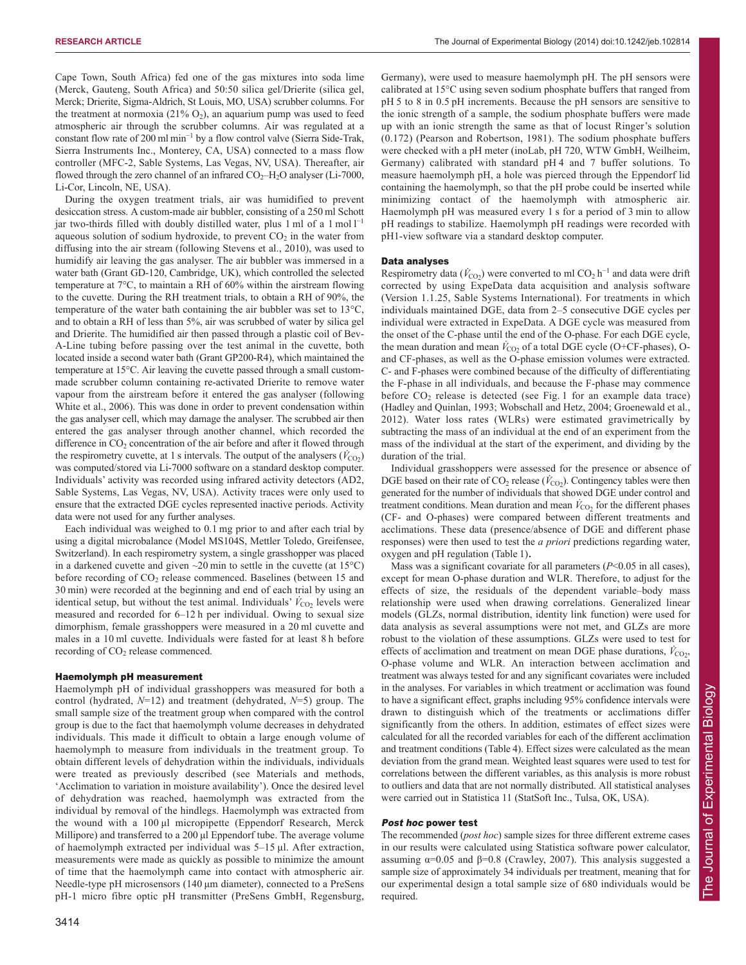Cape Town, South Africa) fed one of the gas mixtures into soda lime (Merck, Gauteng, South Africa) and 50:50 silica gel/Drierite (silica gel, Merck; Drierite, Sigma-Aldrich, St Louis, MO, USA) scrubber columns. For the treatment at normoxia (21%  $O_2$ ), an aquarium pump was used to feed atmospheric air through the scrubber columns. Air was regulated at a constant flow rate of 200 ml min<sup>−</sup><sup>1</sup> by a flow control valve (Sierra Side-Trak, Sierra Instruments Inc., Monterey, CA, USA) connected to a mass flow controller (MFC-2, Sable Systems, Las Vegas, NV, USA). Thereafter, air flowed through the zero channel of an infrared  $CO<sub>2</sub>$ –H<sub>2</sub>O analyser (Li-7000, Li-Cor, Lincoln, NE, USA).

During the oxygen treatment trials, air was humidified to prevent desiccation stress. A custom-made air bubbler, consisting of a 250 ml Schott jar two-thirds filled with doubly distilled water, plus 1 ml of a 1 mol  $l^{-1}$ aqueous solution of sodium hydroxide, to prevent  $CO<sub>2</sub>$  in the water from diffusing into the air stream (following Stevens et al., 2010), was used to humidify air leaving the gas analyser. The air bubbler was immersed in a water bath (Grant GD-120, Cambridge, UK), which controlled the selected temperature at 7°C, to maintain a RH of 60% within the airstream flowing to the cuvette. During the RH treatment trials, to obtain a RH of 90%, the temperature of the water bath containing the air bubbler was set to 13°C, and to obtain a RH of less than 5%, air was scrubbed of water by silica gel and Drierite. The humidified air then passed through a plastic coil of Bev-A-Line tubing before passing over the test animal in the cuvette, both located inside a second water bath (Grant GP200-R4), which maintained the temperature at 15°C. Air leaving the cuvette passed through a small custommade scrubber column containing re-activated Drierite to remove water vapour from the airstream before it entered the gas analyser (following White et al., 2006). This was done in order to prevent condensation within the gas analyser cell, which may damage the analyser. The scrubbed air then entered the gas analyser through another channel, which recorded the difference in  $CO<sub>2</sub>$  concentration of the air before and after it flowed through the respirometry cuvette, at 1 s intervals. The output of the analysers  $(\vec{V}_{CO2})$ was computed/stored via Li-7000 software on a standard desktop computer. Individuals' activity was recorded using infrared activity detectors (AD2, Sable Systems, Las Vegas, NV, USA). Activity traces were only used to ensure that the extracted DGE cycles represented inactive periods. Activity data were not used for any further analyses.

Each individual was weighed to 0.1 mg prior to and after each trial by using a digital microbalance (Model MS104S, Mettler Toledo, Greifensee, Switzerland). In each respirometry system, a single grasshopper was placed in a darkened cuvette and given  $\sim$ 20 min to settle in the cuvette (at 15 $^{\circ}$ C) before recording of CO<sub>2</sub> release commenced. Baselines (between 15 and 30 min) were recorded at the beginning and end of each trial by using an identical setup, but without the test animal. Individuals'  $\dot{V}_{\text{CO}_2}$  levels were measured and recorded for 6–12 h per individual. Owing to sexual size dimorphism, female grasshoppers were measured in a 20 ml cuvette and males in a 10 ml cuvette. Individuals were fasted for at least 8 h before recording of CO<sub>2</sub> release commenced.

#### Haemolymph pH measurement

Haemolymph pH of individual grasshoppers was measured for both a control (hydrated, *N*=12) and treatment (dehydrated, *N*=5) group. The small sample size of the treatment group when compared with the control group is due to the fact that haemolymph volume decreases in dehydrated individuals. This made it difficult to obtain a large enough volume of haemolymph to measure from individuals in the treatment group. To obtain different levels of dehydration within the individuals, individuals were treated as previously described (see Materials and methods, 'Acclimation to variation in moisture availability'). Once the desired level of dehydration was reached, haemolymph was extracted from the individual by removal of the hindlegs. Haemolymph was extracted from the wound with a 100 μl micropipette (Eppendorf Research, Merck Millipore) and transferred to a 200 μl Eppendorf tube. The average volume of haemolymph extracted per individual was 5–15 μl. After extraction, measurements were made as quickly as possible to minimize the amount of time that the haemolymph came into contact with atmospheric air. Needle-type pH microsensors (140 μm diameter), connected to a PreSens pH-1 micro fibre optic pH transmitter (PreSens GmbH, Regensburg,

Germany), were used to measure haemolymph pH. The pH sensors were calibrated at 15°C using seven sodium phosphate buffers that ranged from pH 5 to 8 in 0.5 pH increments. Because the pH sensors are sensitive to the ionic strength of a sample, the sodium phosphate buffers were made up with an ionic strength the same as that of locust Ringer's solution (0.172) (Pearson and Robertson, 1981). The sodium phosphate buffers were checked with a pH meter (inoLab, pH 720, WTW GmbH, Weilheim, Germany) calibrated with standard pH 4 and 7 buffer solutions. To measure haemolymph pH, a hole was pierced through the Eppendorf lid containing the haemolymph, so that the pH probe could be inserted while minimizing contact of the haemolymph with atmospheric air. Haemolymph pH was measured every 1 s for a period of 3 min to allow pH readings to stabilize. Haemolymph pH readings were recorded with pH1-view software via a standard desktop computer.

#### Data analyses

Respirometry data ( $\dot{V}_{\text{CO}_2}$ ) were converted to ml CO<sub>2</sub> h<sup>-1</sup> and data were drift corrected by using ExpeData data acquisition and analysis software (Version 1.1.25, Sable Systems International). For treatments in which individuals maintained DGE, data from 2–5 consecutive DGE cycles per individual were extracted in ExpeData. A DGE cycle was measured from the onset of the C-phase until the end of the O-phase. For each DGE cycle, the mean duration and mean  $V_{\text{CO}_2}$  of a total DGE cycle (O+CF-phases), Oand CF-phases, as well as the O-phase emission volumes were extracted. C- and F-phases were combined because of the difficulty of differentiating the F-phase in all individuals, and because the F-phase may commence before  $CO<sub>2</sub>$  release is detected (see Fig. 1 for an example data trace) (Hadley and Quinlan, 1993; Wobschall and Hetz, 2004; Groenewald et al., 2012). Water loss rates (WLRs) were estimated gravimetrically by subtracting the mass of an individual at the end of an experiment from the mass of the individual at the start of the experiment, and dividing by the duration of the trial.

Individual grasshoppers were assessed for the presence or absence of DGE based on their rate of  $CO<sub>2</sub>$  release ( $\dot{V}_{CO<sub>2</sub>}$ ). Contingency tables were then generated for the number of individuals that showed DGE under control and treatment conditions. Mean duration and mean  $\dot{V}_{\text{CO}_2}$  for the different phases (CF- and O-phases) were compared between different treatments and acclimations. These data (presence/absence of DGE and different phase responses) were then used to test the *a priori* predictions regarding water, oxygen and pH regulation (Table 1).

Mass was a significant covariate for all parameters (*P*<0.05 in all cases), except for mean O-phase duration and WLR. Therefore, to adjust for the effects of size, the residuals of the dependent variable–body mass relationship were used when drawing correlations. Generalized linear models (GLZs, normal distribution, identity link function) were used for data analysis as several assumptions were not met, and GLZs are more robust to the violation of these assumptions. GLZs were used to test for effects of acclimation and treatment on mean DGE phase durations,  $\dot{V}_{\text{CO}_2}$ , O-phase volume and WLR. An interaction between acclimation and treatment was always tested for and any significant covariates were included in the analyses. For variables in which treatment or acclimation was found to have a significant effect, graphs including 95% confidence intervals were drawn to distinguish which of the treatments or acclimations differ significantly from the others. In addition, estimates of effect sizes were calculated for all the recorded variables for each of the different acclimation and treatment conditions (Table 4). Effect sizes were calculated as the mean deviation from the grand mean. Weighted least squares were used to test for correlations between the different variables, as this analysis is more robust to outliers and data that are not normally distributed. All statistical analyses were carried out in Statistica 11 (StatSoft Inc., Tulsa, OK, USA).

# Post hoc power test

The recommended (*post hoc*) sample sizes for three different extreme cases in our results were calculated using Statistica software power calculator, assuming  $α=0.05$  and  $β=0.8$  (Crawley, 2007). This analysis suggested a sample size of approximately 34 individuals per treatment, meaning that for our experimental design a total sample size of 680 individuals would be required.